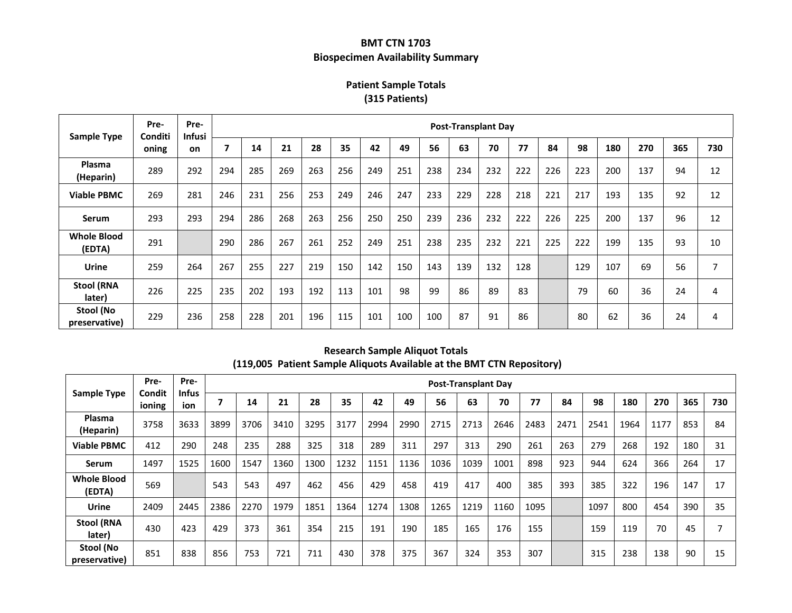## **BMT CTN 1703 Biospecimen Availability Summary**

# **Patient Sample Totals (315 Patients)**

| <b>Sample Type</b>           | Pre-<br>Conditi<br>oning | Pre-<br><b>Infusi</b><br>on | <b>Post-Transplant Day</b> |     |     |     |     |     |     |     |     |     |     |     |     |     |     |     |     |
|------------------------------|--------------------------|-----------------------------|----------------------------|-----|-----|-----|-----|-----|-----|-----|-----|-----|-----|-----|-----|-----|-----|-----|-----|
|                              |                          |                             |                            | 14  | 21  | 28  | 35  | 42  | 49  | 56  | 63  | 70  | 77  | 84  | 98  | 180 | 270 | 365 | 730 |
| Plasma<br>(Heparin)          | 289                      | 292                         | 294                        | 285 | 269 | 263 | 256 | 249 | 251 | 238 | 234 | 232 | 222 | 226 | 223 | 200 | 137 | 94  | 12  |
| <b>Viable PBMC</b>           | 269                      | 281                         | 246                        | 231 | 256 | 253 | 249 | 246 | 247 | 233 | 229 | 228 | 218 | 221 | 217 | 193 | 135 | 92  | 12  |
| <b>Serum</b>                 | 293                      | 293                         | 294                        | 286 | 268 | 263 | 256 | 250 | 250 | 239 | 236 | 232 | 222 | 226 | 225 | 200 | 137 | 96  | 12  |
| <b>Whole Blood</b><br>(EDTA) | 291                      |                             | 290                        | 286 | 267 | 261 | 252 | 249 | 251 | 238 | 235 | 232 | 221 | 225 | 222 | 199 | 135 | 93  | 10  |
| Urine                        | 259                      | 264                         | 267                        | 255 | 227 | 219 | 150 | 142 | 150 | 143 | 139 | 132 | 128 |     | 129 | 107 | 69  | 56  | 7   |
| <b>Stool (RNA</b><br>later)  | 226                      | 225                         | 235                        | 202 | 193 | 192 | 113 | 101 | 98  | 99  | 86  | 89  | 83  |     | 79  | 60  | 36  | 24  | 4   |
| Stool (No<br>preservative)   | 229                      | 236                         | 258                        | 228 | 201 | 196 | 115 | 101 | 100 | 100 | 87  | 91  | 86  |     | 80  | 62  | 36  | 24  | 4   |

|                              | Pre-<br>Condit<br>ioning | Pre-<br><b>Infus</b><br>ion | <b>Post-Transplant Day</b> |      |      |      |      |      |      |      |      |      |      |      |      |      |      |     |     |
|------------------------------|--------------------------|-----------------------------|----------------------------|------|------|------|------|------|------|------|------|------|------|------|------|------|------|-----|-----|
| <b>Sample Type</b>           |                          |                             |                            | 14   | 21   | 28   | 35   | 42   | 49   | 56   | 63   | 70   | 77   | 84   | 98   | 180  | 270  | 365 | 730 |
| <b>Plasma</b><br>(Heparin)   | 3758                     | 3633                        | 3899                       | 3706 | 3410 | 3295 | 3177 | 2994 | 2990 | 2715 | 2713 | 2646 | 2483 | 2471 | 2541 | 1964 | 1177 | 853 | 84  |
| <b>Viable PBMC</b>           | 412                      | 290                         | 248                        | 235  | 288  | 325  | 318  | 289  | 311  | 297  | 313  | 290  | 261  | 263  | 279  | 268  | 192  | 180 | 31  |
| <b>Serum</b>                 | 1497                     | 1525                        | 1600                       | 1547 | 1360 | 1300 | 1232 | 1151 | 1136 | 1036 | 1039 | 1001 | 898  | 923  | 944  | 624  | 366  | 264 | 17  |
| <b>Whole Blood</b><br>(EDTA) | 569                      |                             | 543                        | 543  | 497  | 462  | 456  | 429  | 458  | 419  | 417  | 400  | 385  | 393  | 385  | 322  | 196  | 147 | 17  |
| Urine                        | 2409                     | 2445                        | 2386                       | 2270 | 1979 | 1851 | 1364 | 1274 | 1308 | 1265 | 1219 | 1160 | 1095 |      | 1097 | 800  | 454  | 390 | 35  |
| <b>Stool (RNA</b><br>later)  | 430                      | 423                         | 429                        | 373  | 361  | 354  | 215  | 191  | 190  | 185  | 165  | 176  | 155  |      | 159  | 119  | 70   | 45  |     |
| Stool (No<br>preservative)   | 851                      | 838                         | 856                        | 753  | 721  | 711  | 430  | 378  | 375  | 367  | 324  | 353  | 307  |      | 315  | 238  | 138  | 90  | 15  |

#### **Research Sample Aliquot Totals (119,005 Patient Sample Aliquots Available at the BMT CTN Repository)**